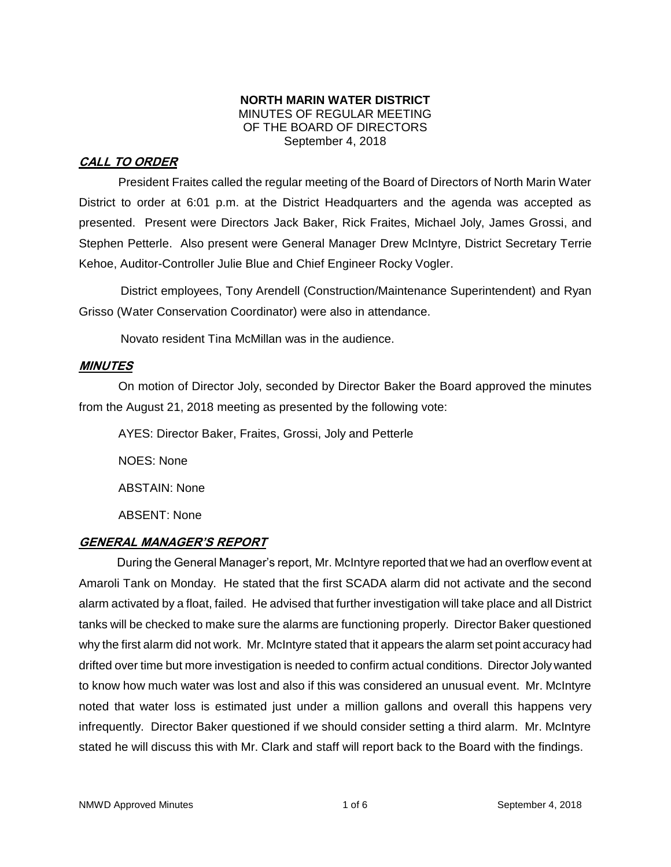### **NORTH MARIN WATER DISTRICT** MINUTES OF REGULAR MEETING OF THE BOARD OF DIRECTORS September 4, 2018

## **CALL TO ORDER**

President Fraites called the regular meeting of the Board of Directors of North Marin Water District to order at 6:01 p.m. at the District Headquarters and the agenda was accepted as presented. Present were Directors Jack Baker, Rick Fraites, Michael Joly, James Grossi, and Stephen Petterle. Also present were General Manager Drew McIntyre, District Secretary Terrie Kehoe, Auditor-Controller Julie Blue and Chief Engineer Rocky Vogler.

District employees, Tony Arendell (Construction/Maintenance Superintendent) and Ryan Grisso (Water Conservation Coordinator) were also in attendance.

Novato resident Tina McMillan was in the audience.

## **MINUTES**

On motion of Director Joly, seconded by Director Baker the Board approved the minutes from the August 21, 2018 meeting as presented by the following vote:

AYES: Director Baker, Fraites, Grossi, Joly and Petterle

NOES: None

ABSTAIN: None

ABSENT: None

## **GENERAL MANAGER'S REPORT**

During the General Manager's report, Mr. McIntyre reported that we had an overflow event at Amaroli Tank on Monday. He stated that the first SCADA alarm did not activate and the second alarm activated by a float, failed. He advised that further investigation will take place and all District tanks will be checked to make sure the alarms are functioning properly. Director Baker questioned why the first alarm did not work. Mr. McIntyre stated that it appears the alarm set point accuracy had drifted over time but more investigation is needed to confirm actual conditions. Director Joly wanted to know how much water was lost and also if this was considered an unusual event. Mr. McIntyre noted that water loss is estimated just under a million gallons and overall this happens very infrequently. Director Baker questioned if we should consider setting a third alarm. Mr. McIntyre stated he will discuss this with Mr. Clark and staff will report back to the Board with the findings.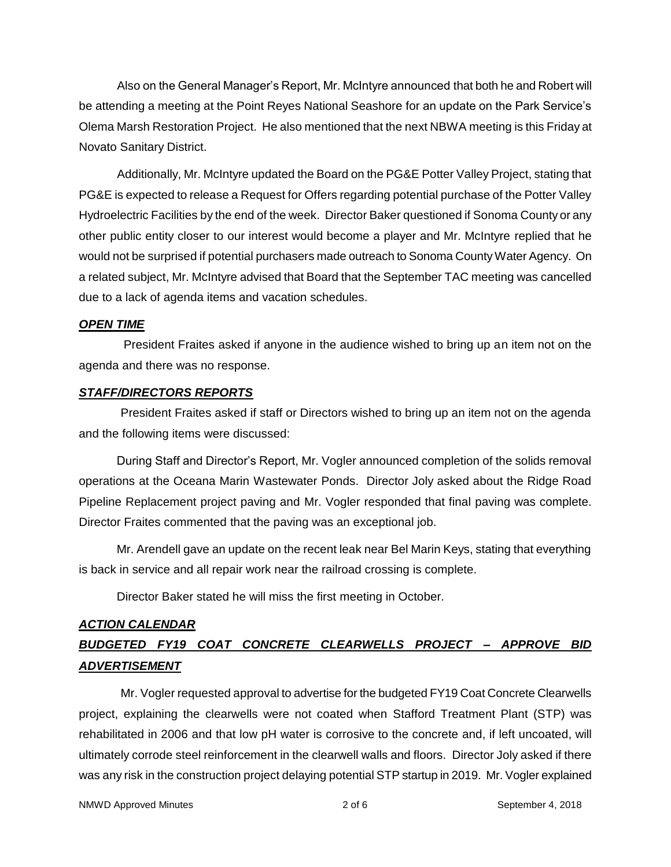Also on the General Manager's Report, Mr. McIntyre announced that both he and Robert will be attending a meeting at the Point Reyes National Seashore for an update on the Park Service's Olema Marsh Restoration Project. He also mentioned that the next NBWA meeting is this Friday at Novato Sanitary District.

Additionally, Mr. McIntyre updated the Board on the PG&E Potter Valley Project, stating that PG&E is expected to release a Request for Offers regarding potential purchase of the Potter Valley Hydroelectric Facilities by the end of the week. Director Baker questioned if Sonoma County or any other public entity closer to our interest would become a player and Mr. McIntyre replied that he would not be surprised if potential purchasers made outreach to Sonoma County Water Agency. On a related subject, Mr. McIntyre advised that Board that the September TAC meeting was cancelled due to a lack of agenda items and vacation schedules.

#### *OPEN TIME*

President Fraites asked if anyone in the audience wished to bring up an item not on the agenda and there was no response.

## *STAFF/DIRECTORS REPORTS*

President Fraites asked if staff or Directors wished to bring up an item not on the agenda and the following items were discussed:

During Staff and Director's Report, Mr. Vogler announced completion of the solids removal operations at the Oceana Marin Wastewater Ponds. Director Joly asked about the Ridge Road Pipeline Replacement project paving and Mr. Vogler responded that final paving was complete. Director Fraites commented that the paving was an exceptional job.

Mr. Arendell gave an update on the recent leak near Bel Marin Keys, stating that everything is back in service and all repair work near the railroad crossing is complete.

Director Baker stated he will miss the first meeting in October.

# *ACTION CALENDAR BUDGETED FY19 COAT CONCRETE CLEARWELLS PROJECT – APPROVE BID ADVERTISEMENT*

Mr. Vogler requested approval to advertise for the budgeted FY19 Coat Concrete Clearwells project, explaining the clearwells were not coated when Stafford Treatment Plant (STP) was rehabilitated in 2006 and that low pH water is corrosive to the concrete and, if left uncoated, will ultimately corrode steel reinforcement in the clearwell walls and floors. Director Joly asked if there was any risk in the construction project delaying potential STP startup in 2019. Mr. Vogler explained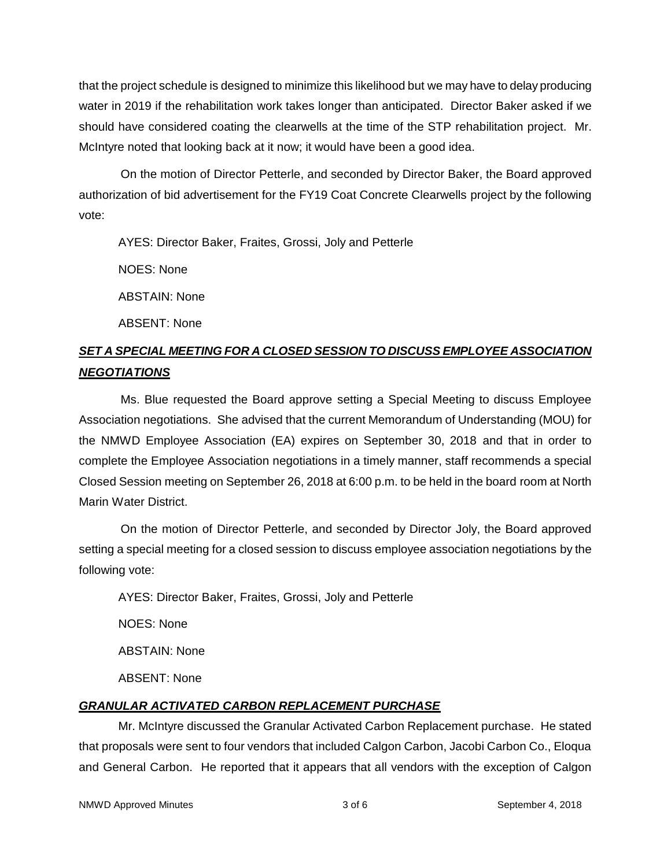that the project schedule is designed to minimize this likelihood but we may have to delay producing water in 2019 if the rehabilitation work takes longer than anticipated. Director Baker asked if we should have considered coating the clearwells at the time of the STP rehabilitation project. Mr. McIntyre noted that looking back at it now; it would have been a good idea.

On the motion of Director Petterle, and seconded by Director Baker, the Board approved authorization of bid advertisement for the FY19 Coat Concrete Clearwells project by the following vote:

AYES: Director Baker, Fraites, Grossi, Joly and Petterle

NOES: None

ABSTAIN: None

ABSENT: None

## *SET A SPECIAL MEETING FOR A CLOSED SESSION TO DISCUSS EMPLOYEE ASSOCIATION NEGOTIATIONS*

Ms. Blue requested the Board approve setting a Special Meeting to discuss Employee Association negotiations. She advised that the current Memorandum of Understanding (MOU) for the NMWD Employee Association (EA) expires on September 30, 2018 and that in order to complete the Employee Association negotiations in a timely manner, staff recommends a special Closed Session meeting on September 26, 2018 at 6:00 p.m. to be held in the board room at North Marin Water District.

On the motion of Director Petterle, and seconded by Director Joly, the Board approved setting a special meeting for a closed session to discuss employee association negotiations by the following vote:

AYES: Director Baker, Fraites, Grossi, Joly and Petterle

NOES: None

ABSTAIN: None

ABSENT: None

## *GRANULAR ACTIVATED CARBON REPLACEMENT PURCHASE*

Mr. McIntyre discussed the Granular Activated Carbon Replacement purchase. He stated that proposals were sent to four vendors that included Calgon Carbon, Jacobi Carbon Co., Eloqua and General Carbon. He reported that it appears that all vendors with the exception of Calgon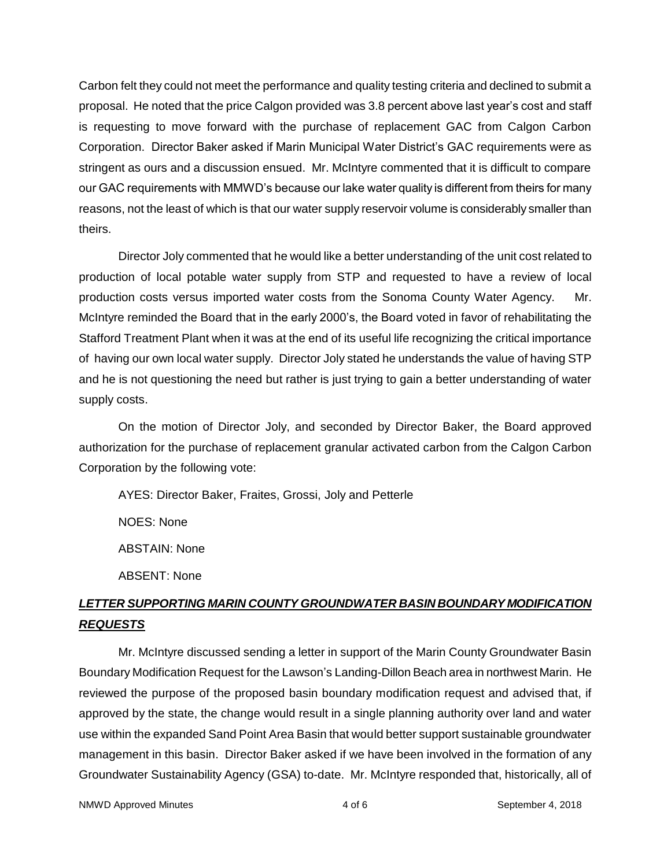Carbon felt they could not meet the performance and quality testing criteria and declined to submit a proposal. He noted that the price Calgon provided was 3.8 percent above last year's cost and staff is requesting to move forward with the purchase of replacement GAC from Calgon Carbon Corporation. Director Baker asked if Marin Municipal Water District's GAC requirements were as stringent as ours and a discussion ensued. Mr. McIntyre commented that it is difficult to compare our GAC requirements with MMWD's because our lake water quality is different from theirs for many reasons, not the least of which is that our water supply reservoir volume is considerably smaller than theirs.

Director Joly commented that he would like a better understanding of the unit cost related to production of local potable water supply from STP and requested to have a review of local production costs versus imported water costs from the Sonoma County Water Agency. Mr. McIntyre reminded the Board that in the early 2000's, the Board voted in favor of rehabilitating the Stafford Treatment Plant when it was at the end of its useful life recognizing the critical importance of having our own local water supply. Director Joly stated he understands the value of having STP and he is not questioning the need but rather is just trying to gain a better understanding of water supply costs.

On the motion of Director Joly, and seconded by Director Baker, the Board approved authorization for the purchase of replacement granular activated carbon from the Calgon Carbon Corporation by the following vote:

AYES: Director Baker, Fraites, Grossi, Joly and Petterle

NOES: None

ABSTAIN: None

ABSENT: None

# *LETTER SUPPORTING MARIN COUNTY GROUNDWATER BASIN BOUNDARY MODIFICATION REQUESTS*

Mr. McIntyre discussed sending a letter in support of the Marin County Groundwater Basin Boundary Modification Request for the Lawson's Landing-Dillon Beach area in northwest Marin. He reviewed the purpose of the proposed basin boundary modification request and advised that, if approved by the state, the change would result in a single planning authority over land and water use within the expanded Sand Point Area Basin that would better support sustainable groundwater management in this basin. Director Baker asked if we have been involved in the formation of any Groundwater Sustainability Agency (GSA) to-date. Mr. McIntyre responded that, historically, all of

NMWD Approved Minutes and the september 4, 2018 and 4 of 6 September 4, 2018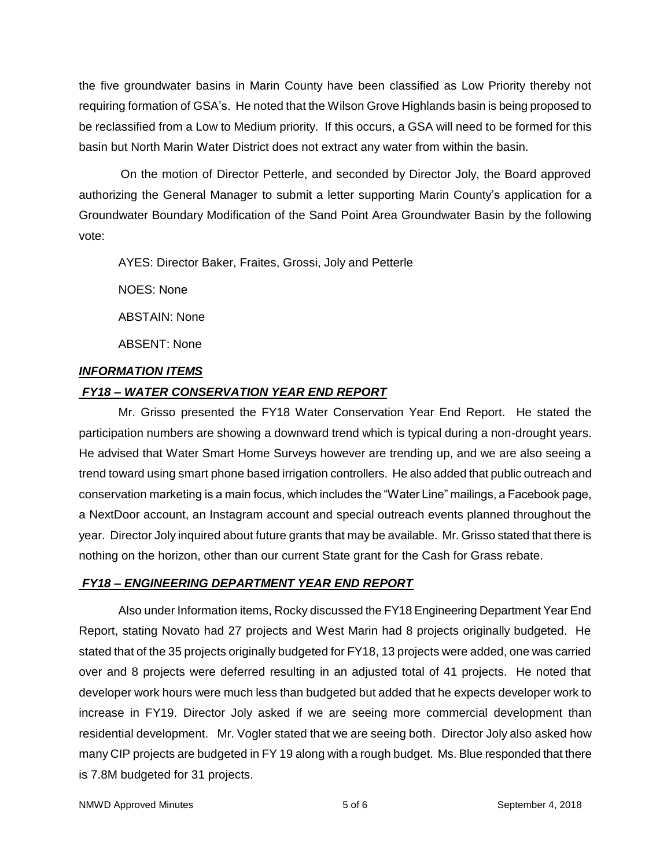the five groundwater basins in Marin County have been classified as Low Priority thereby not requiring formation of GSA's. He noted that the Wilson Grove Highlands basin is being proposed to be reclassified from a Low to Medium priority. If this occurs, a GSA will need to be formed for this basin but North Marin Water District does not extract any water from within the basin.

On the motion of Director Petterle, and seconded by Director Joly, the Board approved authorizing the General Manager to submit a letter supporting Marin County's application for a Groundwater Boundary Modification of the Sand Point Area Groundwater Basin by the following vote:

AYES: Director Baker, Fraites, Grossi, Joly and Petterle

NOES: None

ABSTAIN: None

ABSENT: None

#### *INFORMATION ITEMS*

## *FY18 – WATER CONSERVATION YEAR END REPORT*

Mr. Grisso presented the FY18 Water Conservation Year End Report. He stated the participation numbers are showing a downward trend which is typical during a non-drought years. He advised that Water Smart Home Surveys however are trending up, and we are also seeing a trend toward using smart phone based irrigation controllers. He also added that public outreach and conservation marketing is a main focus, which includes the "Water Line" mailings, a Facebook page, a NextDoor account, an Instagram account and special outreach events planned throughout the year. Director Joly inquired about future grants that may be available. Mr. Grisso stated that there is nothing on the horizon, other than our current State grant for the Cash for Grass rebate.

## *FY18 – ENGINEERING DEPARTMENT YEAR END REPORT*

Also under Information items, Rocky discussed the FY18 Engineering Department Year End Report, stating Novato had 27 projects and West Marin had 8 projects originally budgeted. He stated that of the 35 projects originally budgeted for FY18, 13 projects were added, one was carried over and 8 projects were deferred resulting in an adjusted total of 41 projects. He noted that developer work hours were much less than budgeted but added that he expects developer work to increase in FY19. Director Joly asked if we are seeing more commercial development than residential development. Mr. Vogler stated that we are seeing both. Director Joly also asked how many CIP projects are budgeted in FY 19 along with a rough budget. Ms. Blue responded that there is 7.8M budgeted for 31 projects.